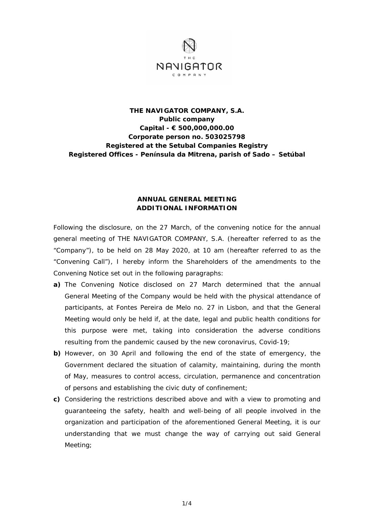

## **THE NAVIGATOR COMPANY, S.A. Public company Capital - € 500,000,000.00 Corporate person no. 503025798 Registered at the Setubal Companies Registry Registered Offices - Península da Mitrena, parish of Sado – Setúbal**

## **ANNUAL GENERAL MEETING ADDITIONAL INFORMATION**

Following the disclosure, on the 27 March, of the convening notice for the annual general meeting of THE NAVIGATOR COMPANY, S.A. (hereafter referred to as the "Company"), to be held on 28 May 2020, at 10 am (hereafter referred to as the "Convening Call"), I hereby inform the Shareholders of the amendments to the Convening Notice set out in the following paragraphs:

- **a)** The Convening Notice disclosed on 27 March determined that the annual General Meeting of the Company would be held with the physical attendance of participants, at Fontes Pereira de Melo no. 27 in Lisbon, and that the General Meeting would only be held if, at the date, legal and public health conditions for this purpose were met, taking into consideration the adverse conditions resulting from the pandemic caused by the new coronavirus, Covid-19;
- **b)** However, on 30 April and following the end of the state of emergency, the Government declared the situation of calamity, maintaining, during the month of May, measures to control access, circulation, permanence and concentration of persons and establishing the civic duty of confinement;
- **c)** Considering the restrictions described above and with a view to promoting and guaranteeing the safety, health and well-being of all people involved in the organization and participation of the aforementioned General Meeting, it is our understanding that we must change the way of carrying out said General Meeting;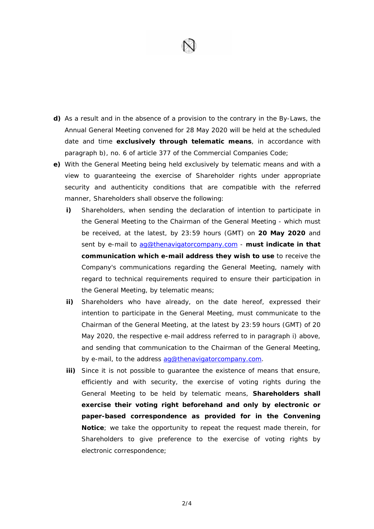

- **d)** As a result and in the absence of a provision to the contrary in the By-Laws, the Annual General Meeting convened for 28 May 2020 will be held at the scheduled date and time **exclusively through telematic means**, in accordance with paragraph b), no. 6 of article 377 of the Commercial Companies Code;
- **e)** With the General Meeting being held exclusively by telematic means and with a view to guaranteeing the exercise of Shareholder rights under appropriate security and authenticity conditions that are compatible with the referred manner, Shareholders shall observe the following:
	- **i)** Shareholders, when sending the declaration of intention to participate in the General Meeting to the Chairman of the General Meeting - which must be received, at the latest, by 23:59 hours (GMT) on **20 May 2020** and sent by e-mail to ag@thenavigatorcompany.com - **must indicate in that communication which e-mail address they wish to use** to receive the Company's communications regarding the General Meeting, namely with regard to technical requirements required to ensure their participation in the General Meeting, by telematic means;
	- **ii)** Shareholders who have already, on the date hereof, expressed their intention to participate in the General Meeting, must communicate to the Chairman of the General Meeting, at the latest by 23:59 hours (GMT) of 20 May 2020, the respective e-mail address referred to in paragraph i) above, and sending that communication to the Chairman of the General Meeting, by e-mail, to the address ag@thenavigatorcompany.com.
	- **iii)** Since it is not possible to quarantee the existence of means that ensure, efficiently and with security, the exercise of voting rights during the General Meeting to be held by telematic means, **Shareholders shall exercise their voting right beforehand and only by electronic or paper-based correspondence as provided for in the Convening Notice**; we take the opportunity to repeat the request made therein, for Shareholders to give preference to the exercise of voting rights by electronic correspondence;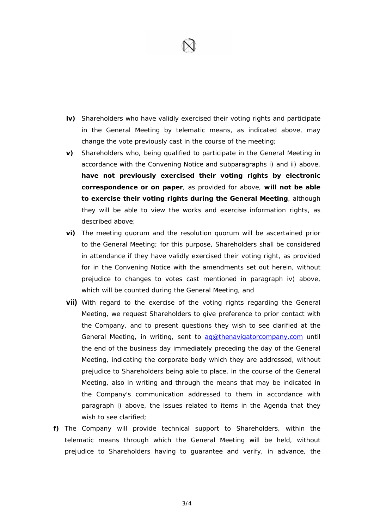

- **iv)** Shareholders who have validly exercised their voting rights and participate in the General Meeting by telematic means, as indicated above, may change the vote previously cast in the course of the meeting;
- **v)** Shareholders who, being qualified to participate in the General Meeting in accordance with the Convening Notice and subparagraphs i) and ii) above, **have not previously exercised their voting rights by electronic correspondence or on paper**, as provided for above, **will not be able to exercise their voting rights during the General Meeting**, although they will be able to view the works and exercise information rights, as described above;
- **vi)** The meeting quorum and the resolution quorum will be ascertained prior to the General Meeting; for this purpose, Shareholders shall be considered in attendance if they have validly exercised their voting right, as provided for in the Convening Notice with the amendments set out herein, without prejudice to changes to votes cast mentioned in paragraph iv) above, which will be counted during the General Meeting, and
- **vii)** With regard to the exercise of the voting rights regarding the General Meeting, we request Shareholders to give preference to prior contact with the Company, and to present questions they wish to see clarified at the General Meeting, in writing, sent to ag@thenavigatorcompany.com until the end of the business day immediately preceding the day of the General Meeting, indicating the corporate body which they are addressed, without prejudice to Shareholders being able to place, in the course of the General Meeting, also in writing and through the means that may be indicated in the Company's communication addressed to them in accordance with paragraph i) above, the issues related to items in the Agenda that they wish to see clarified;
- **f)** The Company will provide technical support to Shareholders, within the telematic means through which the General Meeting will be held, without prejudice to Shareholders having to guarantee and verify, in advance, the